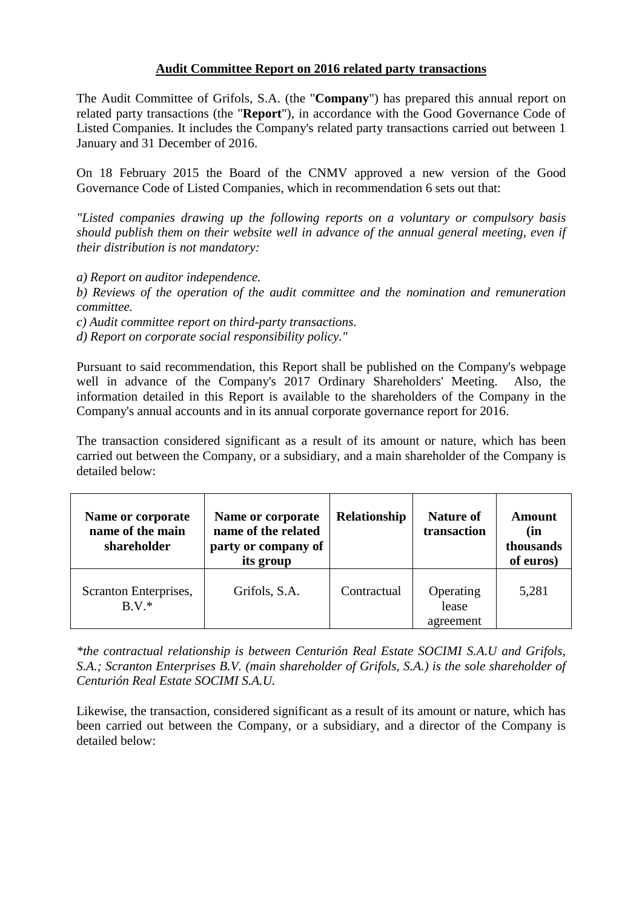## **Audit Committee Report on 2016 related party transactions**

The Audit Committee of Grifols, S.A. (the "**Company**") has prepared this annual report on related party transactions (the "**Report**"), in accordance with the Good Governance Code of Listed Companies. It includes the Company's related party transactions carried out between 1 January and 31 December of 2016.

On 18 February 2015 the Board of the CNMV approved a new version of the Good Governance Code of Listed Companies, which in recommendation 6 sets out that:

*"Listed companies drawing up the following reports on a voluntary or compulsory basis should publish them on their website well in advance of the annual general meeting, even if their distribution is not mandatory:* 

*a) Report on auditor independence.* 

*b) Reviews of the operation of the audit committee and the nomination and remuneration committee.* 

*c) Audit committee report on third-party transactions.* 

*d) Report on corporate social responsibility policy."* 

Pursuant to said recommendation, this Report shall be published on the Company's webpage well in advance of the Company's 2017 Ordinary Shareholders' Meeting. Also, the information detailed in this Report is available to the shareholders of the Company in the Company's annual accounts and in its annual corporate governance report for 2016.

The transaction considered significant as a result of its amount or nature, which has been carried out between the Company, or a subsidiary, and a main shareholder of the Company is detailed below:

| Name or corporate<br>name of the main<br>shareholder | Name or corporate<br>name of the related<br>party or company of<br>its group | Relationship | <b>Nature of</b><br>transaction | Amount<br>(in<br>thousands<br>of euros) |
|------------------------------------------------------|------------------------------------------------------------------------------|--------------|---------------------------------|-----------------------------------------|
| Scranton Enterprises,<br>$B V^*$                     | Grifols, S.A.                                                                | Contractual  | Operating<br>lease<br>agreement | 5,281                                   |

*\*the contractual relationship is between Centurión Real Estate SOCIMI S.A.U and Grifols,*  S.A.; Scranton Enterprises B.V. (main shareholder of Grifols, S.A.) is the sole shareholder of *Centurión Real Estate SOCIMI S.A.U.* 

Likewise, the transaction, considered significant as a result of its amount or nature, which has been carried out between the Company, or a subsidiary, and a director of the Company is detailed below: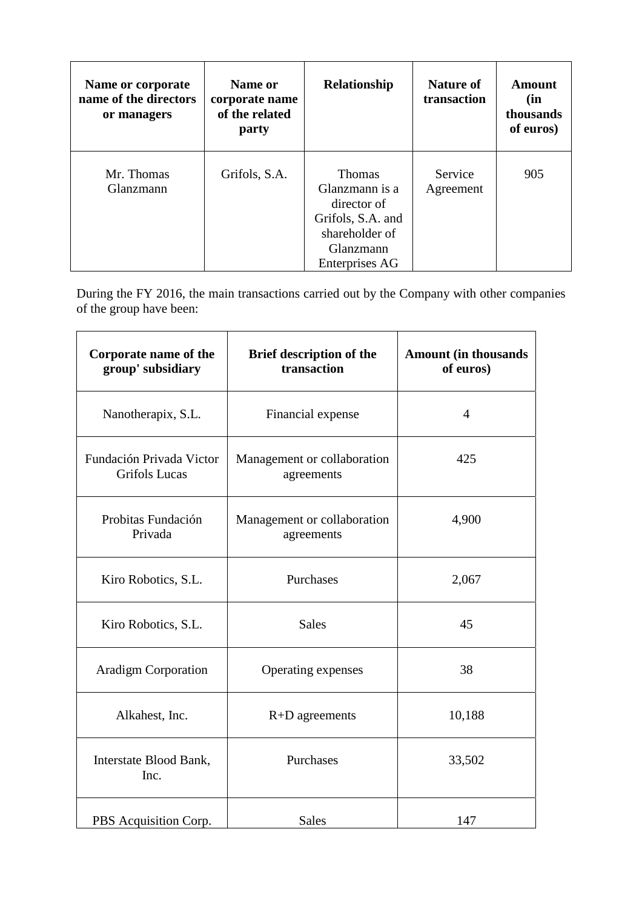| Name or corporate<br>name of the directors<br>or managers | Name or<br>corporate name<br>of the related<br>party | Relationship                                                                                                         | <b>Nature of</b><br>transaction | Amount<br>(in<br>thousands<br>of euros) |
|-----------------------------------------------------------|------------------------------------------------------|----------------------------------------------------------------------------------------------------------------------|---------------------------------|-----------------------------------------|
| Mr. Thomas<br>Glanzmann                                   | Grifols, S.A.                                        | <b>Thomas</b><br>Glanzmann is a<br>director of<br>Grifols, S.A. and<br>shareholder of<br>Glanzmann<br>Enterprises AG | Service<br>Agreement            | 905                                     |

During the FY 2016, the main transactions carried out by the Company with other companies of the group have been:

| Corporate name of the<br>group' subsidiary       | <b>Brief description of the</b><br>transaction | <b>Amount (in thousands</b><br>of euros) |
|--------------------------------------------------|------------------------------------------------|------------------------------------------|
| Nanotherapix, S.L.                               | Financial expense                              | $\overline{4}$                           |
| Fundación Privada Victor<br><b>Grifols Lucas</b> | Management or collaboration<br>agreements      | 425                                      |
| Probitas Fundación<br>Privada                    | Management or collaboration<br>agreements      | 4,900                                    |
| Kiro Robotics, S.L.                              | Purchases                                      | 2,067                                    |
| Kiro Robotics, S.L.                              | <b>Sales</b>                                   | 45                                       |
| <b>Aradigm Corporation</b>                       | Operating expenses                             | 38                                       |
| Alkahest, Inc.                                   | $R+D$ agreements                               | 10,188                                   |
| Interstate Blood Bank,<br>Inc.                   | Purchases                                      | 33,502                                   |
| PBS Acquisition Corp.                            | <b>Sales</b>                                   | 147                                      |